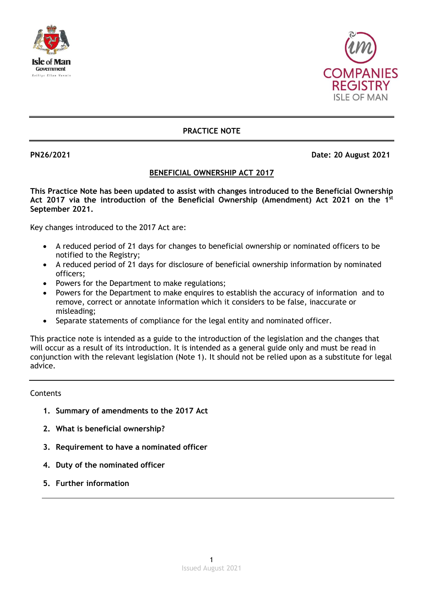



## **PRACTICE NOTE**

**PN26/2021 Date: 20 August 2021**

# **BENEFICIAL OWNERSHIP ACT 2017**

**This Practice Note has been updated to assist with changes introduced to the Beneficial Ownership Act 2017 via the introduction of the Beneficial Ownership (Amendment) Act 2021 on the 1st September 2021.**

Key changes introduced to the 2017 Act are:

- A reduced period of 21 days for changes to beneficial ownership or nominated officers to be notified to the Registry;
- A reduced period of 21 days for disclosure of beneficial ownership information by nominated officers;
- Powers for the Department to make regulations;
- Powers for the Department to make enquires to establish the accuracy of information and to remove, correct or annotate information which it considers to be false, inaccurate or misleading;
- Separate statements of compliance for the legal entity and nominated officer.

This practice note is intended as a guide to the introduction of the legislation and the changes that will occur as a result of its introduction. It is intended as a general guide only and must be read in conjunction with the relevant legislation (Note 1). It should not be relied upon as a substitute for legal advice.

## **Contents**

- **1. Summary of amendments to the 2017 Act**
- **2. What is beneficial ownership?**
- **3. Requirement to have a nominated officer**
- **4. Duty of the nominated officer**
- **5. Further information**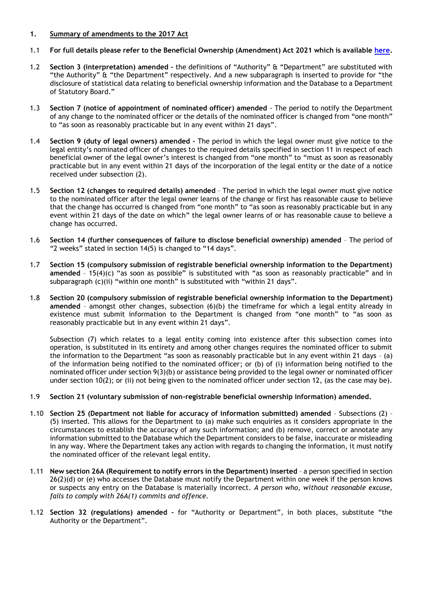#### **1. Summary of amendments to the 2017 Act**

- 1.1 **For full details please refer to the Beneficial Ownership (Amendment) Act 2021 which is available [here.](https://legislation.gov.im/cms/images/LEGISLATION/PRINCIPAL/2021/2021-0007/BeneficialOwnershipAmendmentAct2021_1.pdf)**
- 1.2 **Section 3 (interpretation) amended –** the definitions of "Authority" & "Department" are substituted with "the Authority" & "the Department" respectively. And a new subparagraph is inserted to provide for "the disclosure of statistical data relating to beneficial ownership information and the Database to a Department of Statutory Board."
- 1.3 **Section 7 (notice of appointment of nominated officer) amended** The period to notify the Department of any change to the nominated officer or the details of the nominated officer is changed from "one month" to "as soon as reasonably practicable but in any event within 21 days".
- 1.4 **Section 9 (duty of legal owners) amended –** The period in which the legal owner must give notice to the legal entity's nominated officer of changes to the required details specified in section 11 in respect of each beneficial owner of the legal owner's interest is changed from "one month" to "must as soon as reasonably practicable but in any event within 21 days of the incorporation of the legal entity or the date of a notice received under subsection (2).
- 1.5 **Section 12 (changes to required details) amended**  The period in which the legal owner must give notice to the nominated officer after the legal owner learns of the change or first has reasonable cause to believe that the change has occurred is changed from "one month" to "as soon as reasonably practicable but in any event within 21 days of the date on which" the legal owner learns of or has reasonable cause to believe a change has occurred.
- 1.6 **Section 14 (further consequences of failure to disclose beneficial ownership) amended**  The period of "2 weeks" stated in section 14(5) is changed to "14 days".
- 1.7 **Section 15 (compulsory submission of registrable beneficial ownership information to the Department) amended** – 15(4)(c) "as soon as possible" is substituted with "as soon as reasonably practicable" and in subparagraph (c)(ii) "within one month" is substituted with "within 21 days".
- 1.8 **Section 20 (compulsory submission of registrable beneficial ownership information to the Department) amended** – amongst other changes, subsection (6)(b) the timeframe for which a legal entity already in existence must submit information to the Department is changed from "one month" to "as soon as reasonably practicable but in any event within 21 days".

Subsection (7) which relates to a legal entity coming into existence after this subsection comes into operation, is substituted in its entirety and among other changes requires the nominated officer to submit the information to the Department "as soon as reasonably practicable but in any event within 21 days – (a) of the information being notified to the nominated officer; or (b) of (i) information being notified to the nominated officer under section 9(3)(b) or assistance being provided to the legal owner or nominated officer under section 10(2); or (ii) not being given to the nominated officer under section 12, (as the case may be).

#### 1.9 **Section 21 (voluntary submission of non-registrable beneficial ownership information) amended.**

- 1.10 **Section 25 (Department not liable for accuracy of information submitted) amended**  Subsections (2) (5) inserted. This allows for the Department to (a) make such enquiries as it considers appropriate in the circumstances to establish the accuracy of any such information; and (b) remove, correct or annotate any information submitted to the Database which the Department considers to be false, inaccurate or misleading in any way. Where the Department takes any action with regards to changing the information, it must notify the nominated officer of the relevant legal entity.
- 1.11 **New section 26A (Requirement to notify errors in the Department) inserted** a person specified in section 26(2)(d) or (e) who accesses the Database must notify the Department within one week if the person knows or suspects any entry on the Database is materially incorrect. *A person who, without reasonable excuse, fails to comply with 26A(1) commits and offence.*
- 1.12 **Section 32 (regulations) amended –** for "Authority or Department", in both places, substitute "the Authority or the Department".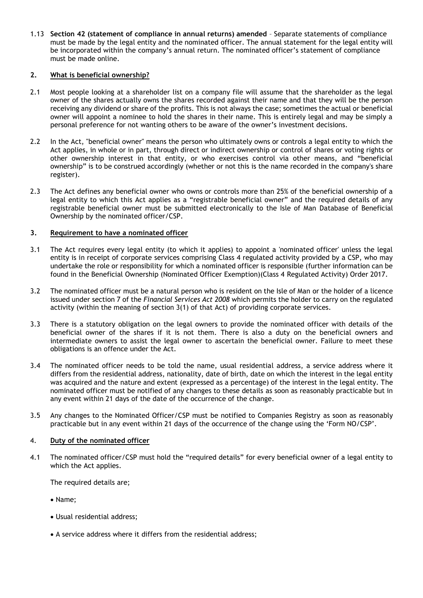1.13 **Section 42 (statement of compliance in annual returns) amended** – Separate statements of compliance must be made by the legal entity and the nominated officer. The annual statement for the legal entity will be incorporated within the company's annual return. The nominated officer's statement of compliance must be made online.

#### **2. What is beneficial ownership?**

- 2.1 Most people looking at a shareholder list on a company file will assume that the shareholder as the legal owner of the shares actually owns the shares recorded against their name and that they will be the person receiving any dividend or share of the profits. This is not always the case; sometimes the actual or beneficial owner will appoint a nominee to hold the shares in their name. This is entirely legal and may be simply a personal preference for not wanting others to be aware of the owner's investment decisions.
- 2.2 In the Act, "beneficial owner" means the person who ultimately owns or controls a legal entity to which the Act applies, in whole or in part, through direct or indirect ownership or control of shares or voting rights or other ownership interest in that entity, or who exercises control via other means, and "beneficial ownership" is to be construed accordingly (whether or not this is the name recorded in the company's share register).
- 2.3 The Act defines any beneficial owner who owns or controls more than 25% of the beneficial ownership of a legal entity to which this Act applies as a "registrable beneficial owner" and the required details of any registrable beneficial owner must be submitted electronically to the Isle of Man Database of Beneficial Ownership by the nominated officer/CSP.

#### **3. Requirement to have a nominated officer**

- 3.1 The Act requires every legal entity (to which it applies) to appoint a 'nominated officer' unless the legal entity is in receipt of corporate services comprising Class 4 regulated activity provided by a CSP, who may undertake the role or responsibility for which a nominated officer is responsible (further information can be found in the Beneficial Ownership (Nominated Officer Exemption)(Class 4 Regulated Activity) Order 2017.
- 3.2 The nominated officer must be a natural person who is resident on the Isle of Man or the holder of a licence issued under section 7 of the *Financial Services Act 2008* which permits the holder to carry on the regulated activity (within the meaning of section 3(1) of that Act) of providing corporate services.
- 3.3 There is a statutory obligation on the legal owners to provide the nominated officer with details of the beneficial owner of the shares if it is not them. There is also a duty on the beneficial owners and intermediate owners to assist the legal owner to ascertain the beneficial owner. Failure to meet these obligations is an offence under the Act.
- 3.4 The nominated officer needs to be told the name, usual residential address, a service address where it differs from the residential address, nationality, date of birth, date on which the interest in the legal entity was acquired and the nature and extent (expressed as a percentage) of the interest in the legal entity. The nominated officer must be notified of any changes to these details as soon as reasonably practicable but in any event within 21 days of the date of the occurrence of the change.
- 3.5 Any changes to the Nominated Officer/CSP must be notified to Companies Registry as soon as reasonably practicable but in any event within 21 days of the occurrence of the change using the 'Form NO/CSP'.

#### 4. **Duty of the nominated officer**

4.1 The nominated officer/CSP must hold the "required details" for every beneficial owner of a legal entity to which the Act applies.

The required details are;

- Name;
- Usual residential address;
- A service address where it differs from the residential address;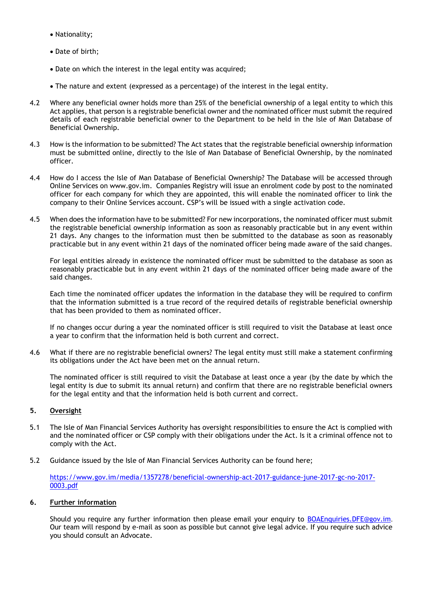- Nationality;
- Date of birth;
- Date on which the interest in the legal entity was acquired;
- The nature and extent (expressed as a percentage) of the interest in the legal entity.
- 4.2 Where any beneficial owner holds more than 25% of the beneficial ownership of a legal entity to which this Act applies, that person is a registrable beneficial owner and the nominated officer must submit the required details of each registrable beneficial owner to the Department to be held in the Isle of Man Database of Beneficial Ownership.
- 4.3 How is the information to be submitted? The Act states that the registrable beneficial ownership information must be submitted online, directly to the Isle of Man Database of Beneficial Ownership, by the nominated officer.
- 4.4 How do I access the Isle of Man Database of Beneficial Ownership? The Database will be accessed through Online Services on [www.gov.im.](http://www.gov.im/) Companies Registry will issue an enrolment code by post to the nominated officer for each company for which they are appointed, this will enable the nominated officer to link the company to their Online Services account. CSP's will be issued with a single activation code.
- 4.5 When does the information have to be submitted? For new incorporations, the nominated officer must submit the registrable beneficial ownership information as soon as reasonably practicable but in any event within 21 days. Any changes to the information must then be submitted to the database as soon as reasonably practicable but in any event within 21 days of the nominated officer being made aware of the said changes.

For legal entities already in existence the nominated officer must be submitted to the database as soon as reasonably practicable but in any event within 21 days of the nominated officer being made aware of the said changes.

Each time the nominated officer updates the information in the database they will be required to confirm that the information submitted is a true record of the required details of registrable beneficial ownership that has been provided to them as nominated officer.

If no changes occur during a year the nominated officer is still required to visit the Database at least once a year to confirm that the information held is both current and correct.

4.6 What if there are no registrable beneficial owners? The legal entity must still make a statement confirming its obligations under the Act have been met on the annual return.

The nominated officer is still required to visit the Database at least once a year (by the date by which the legal entity is due to submit its annual return) and confirm that there are no registrable beneficial owners for the legal entity and that the information held is both current and correct.

## **5. Oversight**

- 5.1 The Isle of Man Financial Services Authority has oversight responsibilities to ensure the Act is complied with and the nominated officer or CSP comply with their obligations under the Act. Is it a criminal offence not to comply with the Act.
- 5.2 Guidance issued by the Isle of Man Financial Services Authority can be found here;

[https://www.gov.im/media/1357278/beneficial-ownership-act-2017-guidance-june-2017-gc-no-2017-](https://www.gov.im/media/1357278/beneficial-ownership-act-2017-guidance-june-2017-gc-no-2017-0003.pdf) [0003.pdf](https://www.gov.im/media/1357278/beneficial-ownership-act-2017-guidance-june-2017-gc-no-2017-0003.pdf)

#### **6. Further information**

Should you require any further information then please email your enquiry to [BOAEnquiries.DFE@gov.im](mailto:BOAEnquiries.DFE@gov.im). Our team will respond by e-mail as soon as possible but cannot give legal advice. If you require such advice you should consult an Advocate.